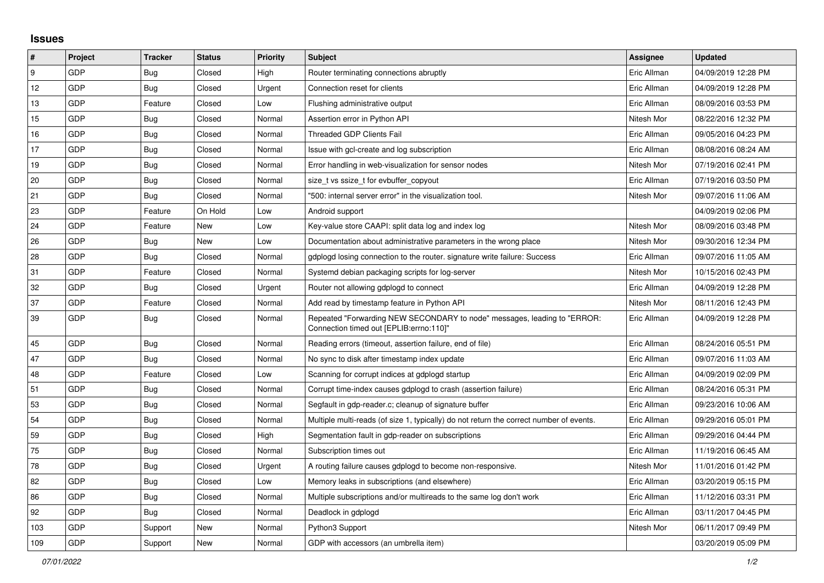## **Issues**

| $\vert$ # | Project    | <b>Tracker</b> | <b>Status</b> | <b>Priority</b> | <b>Subject</b>                                                                                                      | <b>Assignee</b> | <b>Updated</b>      |
|-----------|------------|----------------|---------------|-----------------|---------------------------------------------------------------------------------------------------------------------|-----------------|---------------------|
| 9         | GDP        | Bug            | Closed        | High            | Router terminating connections abruptly                                                                             | Eric Allman     | 04/09/2019 12:28 PM |
| 12        | GDP        | Bug            | Closed        | Urgent          | Connection reset for clients                                                                                        | Eric Allman     | 04/09/2019 12:28 PM |
| 13        | GDP        | Feature        | Closed        | Low             | Flushing administrative output                                                                                      | Eric Allman     | 08/09/2016 03:53 PM |
| 15        | GDP        | Bug            | Closed        | Normal          | Assertion error in Python API                                                                                       | Nitesh Mor      | 08/22/2016 12:32 PM |
| 16        | GDP        | Bug            | Closed        | Normal          | <b>Threaded GDP Clients Fail</b>                                                                                    | Eric Allman     | 09/05/2016 04:23 PM |
| 17        | GDP        | <b>Bug</b>     | Closed        | Normal          | Issue with gcl-create and log subscription                                                                          | Eric Allman     | 08/08/2016 08:24 AM |
| 19        | GDP        | <b>Bug</b>     | Closed        | Normal          | Error handling in web-visualization for sensor nodes                                                                | Nitesh Mor      | 07/19/2016 02:41 PM |
| 20        | GDP        | <b>Bug</b>     | Closed        | Normal          | size t vs ssize t for evbuffer copyout                                                                              | Eric Allman     | 07/19/2016 03:50 PM |
| 21        | GDP        | Bug            | Closed        | Normal          | "500: internal server error" in the visualization tool.                                                             | Nitesh Mor      | 09/07/2016 11:06 AM |
| 23        | <b>GDP</b> | Feature        | On Hold       | Low             | Android support                                                                                                     |                 | 04/09/2019 02:06 PM |
| 24        | GDP        | Feature        | New           | Low             | Key-value store CAAPI: split data log and index log                                                                 | Nitesh Mor      | 08/09/2016 03:48 PM |
| 26        | GDP        | Bug            | New           | Low             | Documentation about administrative parameters in the wrong place                                                    | Nitesh Mor      | 09/30/2016 12:34 PM |
| 28        | GDP        | Bug            | Closed        | Normal          | gdplogd losing connection to the router. signature write failure: Success                                           | Eric Allman     | 09/07/2016 11:05 AM |
| 31        | GDP        | Feature        | Closed        | Normal          | Systemd debian packaging scripts for log-server                                                                     | Nitesh Mor      | 10/15/2016 02:43 PM |
| 32        | GDP        | Bug            | Closed        | Urgent          | Router not allowing gdplogd to connect                                                                              | Eric Allman     | 04/09/2019 12:28 PM |
| 37        | GDP        | Feature        | Closed        | Normal          | Add read by timestamp feature in Python API                                                                         | Nitesh Mor      | 08/11/2016 12:43 PM |
| 39        | GDP        | <b>Bug</b>     | Closed        | Normal          | Repeated "Forwarding NEW SECONDARY to node" messages, leading to "ERROR:<br>"Connection timed out [EPLIB:errno:110] | Eric Allman     | 04/09/2019 12:28 PM |
| 45        | GDP        | Bug            | Closed        | Normal          | Reading errors (timeout, assertion failure, end of file)                                                            | Eric Allman     | 08/24/2016 05:51 PM |
| 47        | GDP        | Bug            | Closed        | Normal          | No sync to disk after timestamp index update                                                                        | Eric Allman     | 09/07/2016 11:03 AM |
| 48        | GDP        | Feature        | Closed        | Low             | Scanning for corrupt indices at gdplogd startup                                                                     | Eric Allman     | 04/09/2019 02:09 PM |
| 51        | GDP        | <b>Bug</b>     | Closed        | Normal          | Corrupt time-index causes gdplogd to crash (assertion failure)                                                      | Eric Allman     | 08/24/2016 05:31 PM |
| 53        | GDP        | Bug            | Closed        | Normal          | Segfault in gdp-reader.c; cleanup of signature buffer                                                               | Eric Allman     | 09/23/2016 10:06 AM |
| 54        | GDP        | Bug            | Closed        | Normal          | Multiple multi-reads (of size 1, typically) do not return the correct number of events.                             | Eric Allman     | 09/29/2016 05:01 PM |
| 59        | GDP        | Bug            | Closed        | High            | Segmentation fault in gdp-reader on subscriptions                                                                   | Eric Allman     | 09/29/2016 04:44 PM |
| 75        | GDP        | Bug            | Closed        | Normal          | Subscription times out                                                                                              | Eric Allman     | 11/19/2016 06:45 AM |
| 78        | GDP        | <b>Bug</b>     | Closed        | Urgent          | A routing failure causes gdplogd to become non-responsive.                                                          | Nitesh Mor      | 11/01/2016 01:42 PM |
| 82        | GDP        | <b>Bug</b>     | Closed        | Low             | Memory leaks in subscriptions (and elsewhere)                                                                       | Eric Allman     | 03/20/2019 05:15 PM |
| 86        | GDP        | <b>Bug</b>     | Closed        | Normal          | Multiple subscriptions and/or multireads to the same log don't work                                                 | Eric Allman     | 11/12/2016 03:31 PM |
| 92        | <b>GDP</b> | Bug            | Closed        | Normal          | Deadlock in gdplogd                                                                                                 | Eric Allman     | 03/11/2017 04:45 PM |
| 103       | GDP        | Support        | New           | Normal          | Python3 Support                                                                                                     | Nitesh Mor      | 06/11/2017 09:49 PM |
| 109       | GDP        | Support        | New           | Normal          | GDP with accessors (an umbrella item)                                                                               |                 | 03/20/2019 05:09 PM |